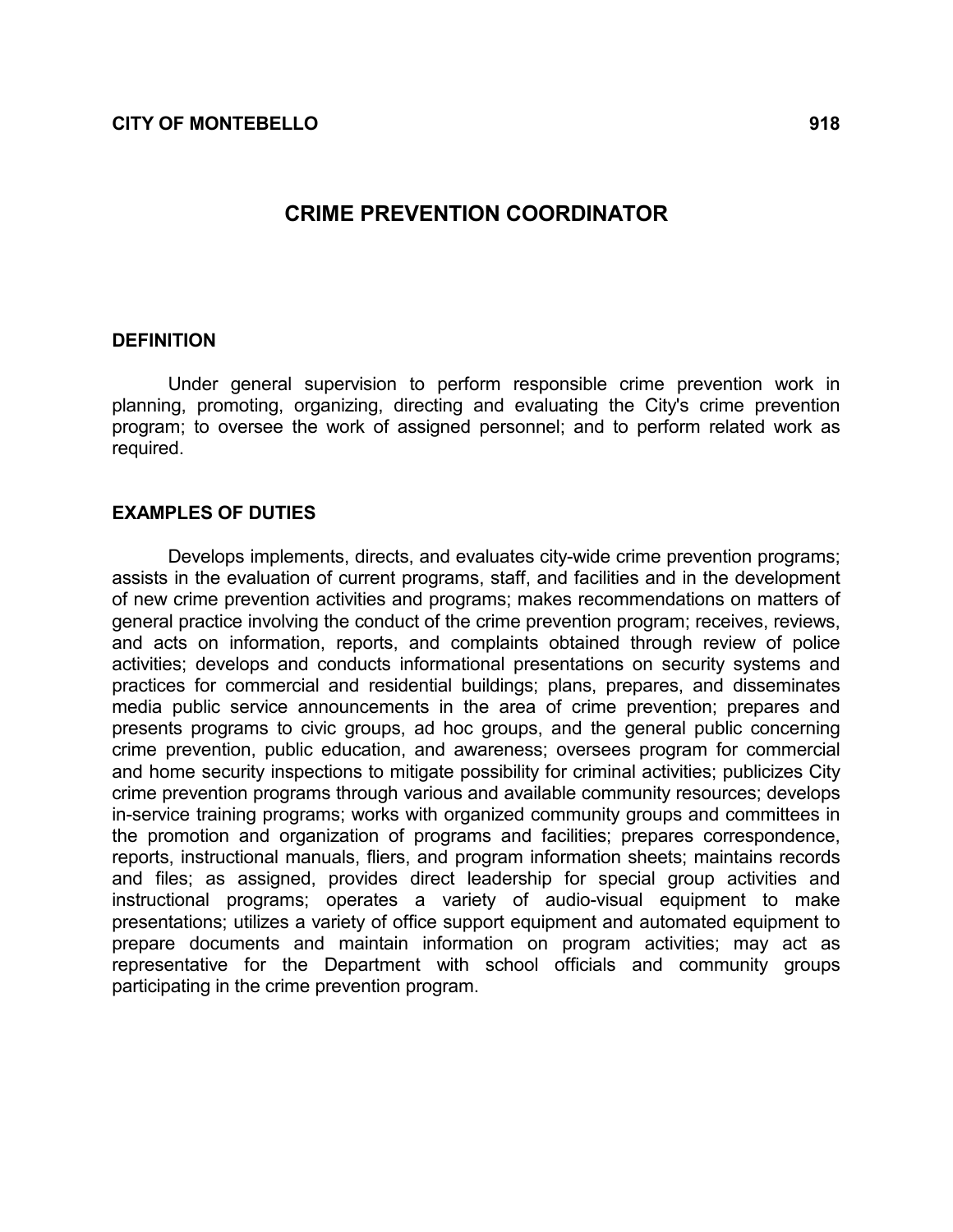# CRIME PREVENTION COORDINATOR

#### **DEFINITION**

 Under general supervision to perform responsible crime prevention work in planning, promoting, organizing, directing and evaluating the City's crime prevention program; to oversee the work of assigned personnel; and to perform related work as required.

#### EXAMPLES OF DUTIES

 Develops implements, directs, and evaluates city-wide crime prevention programs; assists in the evaluation of current programs, staff, and facilities and in the development of new crime prevention activities and programs; makes recommendations on matters of general practice involving the conduct of the crime prevention program; receives, reviews, and acts on information, reports, and complaints obtained through review of police activities; develops and conducts informational presentations on security systems and practices for commercial and residential buildings; plans, prepares, and disseminates media public service announcements in the area of crime prevention; prepares and presents programs to civic groups, ad hoc groups, and the general public concerning crime prevention, public education, and awareness; oversees program for commercial and home security inspections to mitigate possibility for criminal activities; publicizes City crime prevention programs through various and available community resources; develops in-service training programs; works with organized community groups and committees in the promotion and organization of programs and facilities; prepares correspondence, reports, instructional manuals, fliers, and program information sheets; maintains records and files; as assigned, provides direct leadership for special group activities and instructional programs; operates a variety of audio-visual equipment to make presentations; utilizes a variety of office support equipment and automated equipment to prepare documents and maintain information on program activities; may act as representative for the Department with school officials and community groups participating in the crime prevention program.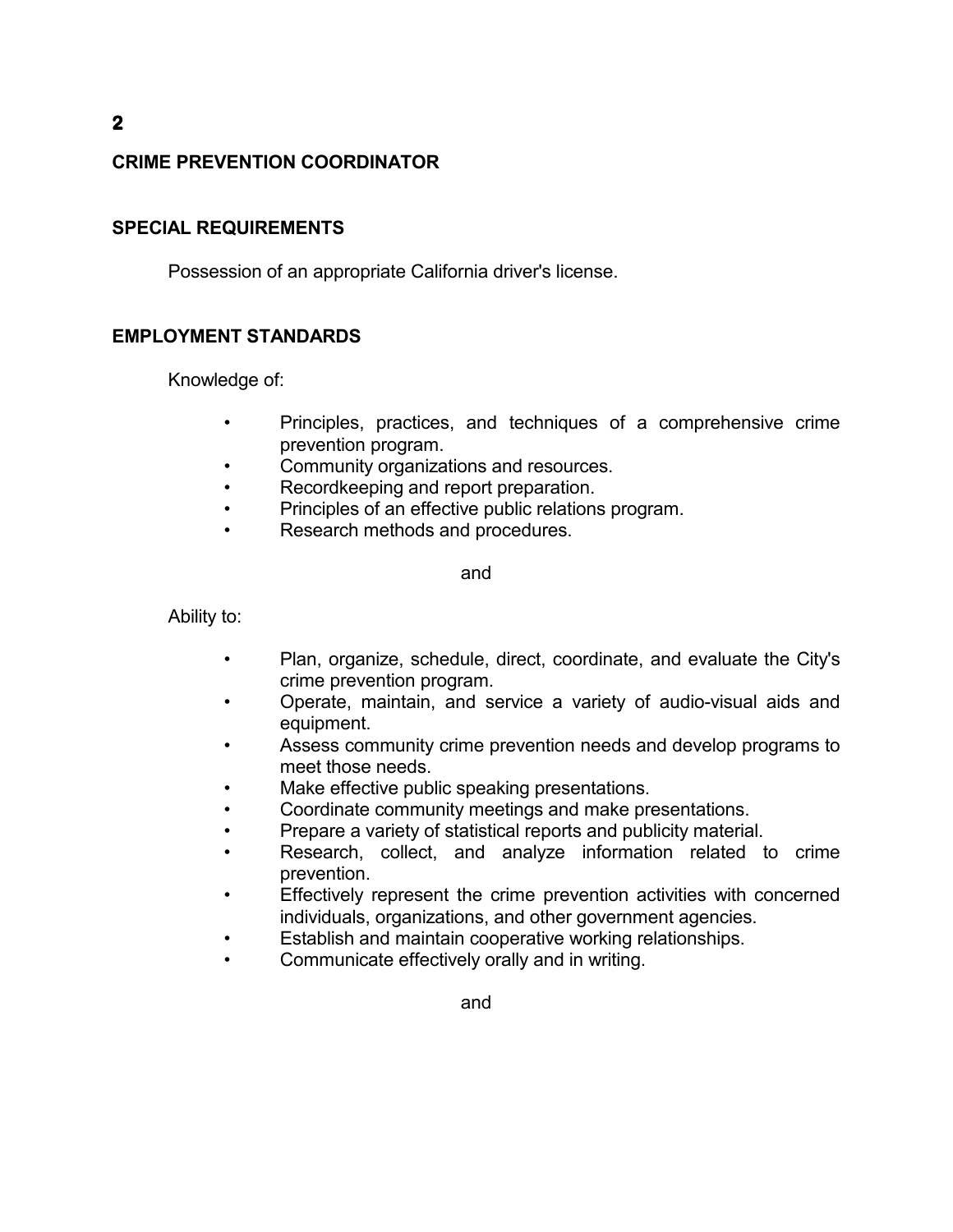# CRIME PREVENTION COORDINATOR

### SPECIAL REQUIREMENTS

Possession of an appropriate California driver's license.

# EMPLOYMENT STANDARDS

Knowledge of:

- Principles, practices, and techniques of a comprehensive crime prevention program.
- Community organizations and resources.
- Recordkeeping and report preparation.
- Principles of an effective public relations program.
- Research methods and procedures.

and

Ability to:

- Plan, organize, schedule, direct, coordinate, and evaluate the City's crime prevention program.
- Operate, maintain, and service a variety of audio-visual aids and equipment.
- Assess community crime prevention needs and develop programs to meet those needs.
- Make effective public speaking presentations.
- Coordinate community meetings and make presentations.
- Prepare a variety of statistical reports and publicity material.
- Research, collect, and analyze information related to crime prevention.
- Effectively represent the crime prevention activities with concerned individuals, organizations, and other government agencies.
- Establish and maintain cooperative working relationships.
- Communicate effectively orally and in writing.